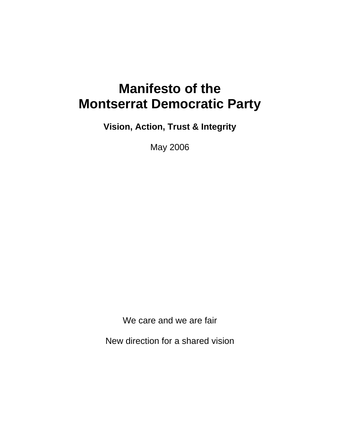# **Manifesto of the Montserrat Democratic Party**

**Vision, Action, Trust & Integrity** 

May 2006

We care and we are fair

New direction for a shared vision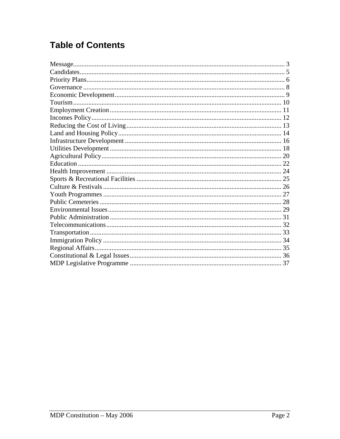# **Table of Contents**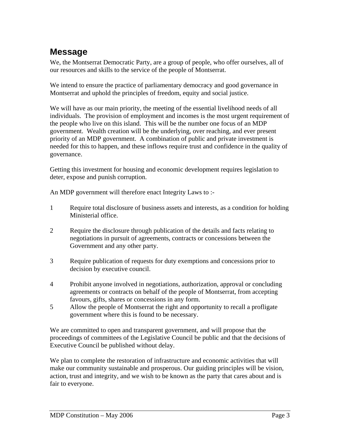#### **Message**

We, the Montserrat Democratic Party, are a group of people, who offer ourselves, all of our resources and skills to the service of the people of Montserrat.

We intend to ensure the practice of parliamentary democracy and good governance in Montserrat and uphold the principles of freedom, equity and social justice.

We will have as our main priority, the meeting of the essential livelihood needs of all individuals. The provision of employment and incomes is the most urgent requirement of the people who live on this island. This will be the number one focus of an MDP government. Wealth creation will be the underlying, over reaching, and ever present priority of an MDP government. A combination of public and private investment is needed for this to happen, and these inflows require trust and confidence in the quality of governance.

Getting this investment for housing and economic development requires legislation to deter, expose and punish corruption.

An MDP government will therefore enact Integrity Laws to :-

- 1 Require total disclosure of business assets and interests, as a condition for holding Ministerial office.
- 2 Require the disclosure through publication of the details and facts relating to negotiations in pursuit of agreements, contracts or concessions between the Government and any other party.
- 3 Require publication of requests for duty exemptions and concessions prior to decision by executive council.
- 4 Prohibit anyone involved in negotiations, authorization, approval or concluding agreements or contracts on behalf of the people of Montserrat, from accepting favours, gifts, shares or concessions in any form.
- 5 Allow the people of Montserrat the right and opportunity to recall a profligate government where this is found to be necessary.

We are committed to open and transparent government, and will propose that the proceedings of committees of the Legislative Council be public and that the decisions of Executive Council be published without delay.

We plan to complete the restoration of infrastructure and economic activities that will make our community sustainable and prosperous. Our guiding principles will be vision, action, trust and integrity, and we wish to be known as the party that cares about and is fair to everyone.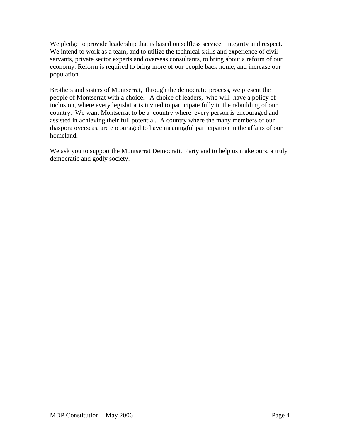We pledge to provide leadership that is based on selfless service, integrity and respect. We intend to work as a team, and to utilize the technical skills and experience of civil servants, private sector experts and overseas consultants, to bring about a reform of our economy. Reform is required to bring more of our people back home, and increase our population.

Brothers and sisters of Montserrat, through the democratic process, we present the people of Montserrat with a choice. A choice of leaders, who will have a policy of inclusion, where every legislator is invited to participate fully in the rebuilding of our country. We want Montserrat to be a country where every person is encouraged and assisted in achieving their full potential. A country where the many members of our diaspora overseas, are encouraged to have meaningful participation in the affairs of our homeland.

We ask you to support the Montserrat Democratic Party and to help us make ours, a truly democratic and godly society.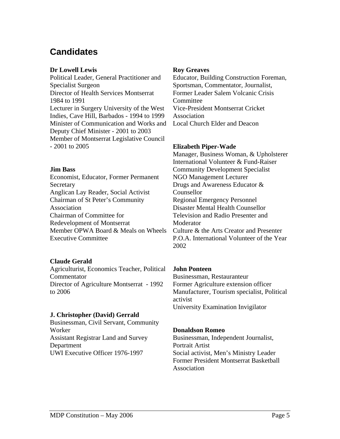#### **Candidates**

#### **Dr Lowell Lewis**

Political Leader, General Practitioner and Specialist Surgeon Director of Health Services Montserrat 1984 to 1991 Lecturer in Surgery University of the West Indies, Cave Hill, Barbados - 1994 to 1999 Minister of Communication and Works and Deputy Chief Minister - 2001 to 2003 Member of Montserrat Legislative Council - 2001 to 2005

#### **Jim Bass**

Economist, Educator, Former Permanent Secretary Anglican Lay Reader, Social Activist Chairman of St Peter's Community Association Chairman of Committee for Redevelopment of Montserrat Member OPWA Board & Meals on Wheels Executive Committee

#### **Claude Gerald**

Agriculturist, Economics Teacher, Political Commentator Director of Agriculture Montserrat - 1992 to 2006

#### **J. Christopher (David) Gerrald**

Businessman, Civil Servant, Community Worker Assistant Registrar Land and Survey Department UWI Executive Officer 1976-1997

#### **Roy Greaves**

Educator, Building Construction Foreman, Sportsman, Commentator, Journalist, Former Leader Salem Volcanic Crisis **Committee** Vice-President Montserrat Cricket Association Local Church Elder and Deacon

#### **Elizabeth Piper-Wade**

Manager, Business Woman, & Upholsterer International Volunteer & Fund-Raiser Community Development Specialist NGO Management Lecturer Drugs and Awareness Educator & Counsellor Regional Emergency Personnel Disaster Mental Health Counsellor Television and Radio Presenter and Moderator Culture & the Arts Creator and Presenter P.O.A. International Volunteer of the Year 2002

#### **John Ponteen**

Businessman, Restauranteur Former Agriculture extension officer Manufacturer, Tourism specialist, Political activist University Examination Invigilator

#### **Donaldson Romeo**

Businessman, Independent Journalist, Portrait Artist Social activist, Men's Ministry Leader Former President Montserrat Basketball Association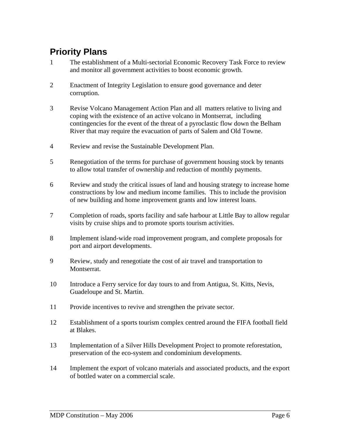### **Priority Plans**

- 1 The establishment of a Multi-sectorial Economic Recovery Task Force to review and monitor all government activities to boost economic growth.
- 2 Enactment of Integrity Legislation to ensure good governance and deter corruption.
- 3 Revise Volcano Management Action Plan and all matters relative to living and coping with the existence of an active volcano in Montserrat, including contingencies for the event of the threat of a pyroclastic flow down the Belham River that may require the evacuation of parts of Salem and Old Towne.
- 4 Review and revise the Sustainable Development Plan.
- 5 Renegotiation of the terms for purchase of government housing stock by tenants to allow total transfer of ownership and reduction of monthly payments.
- 6 Review and study the critical issues of land and housing strategy to increase home constructions by low and medium income families. This to include the provision of new building and home improvement grants and low interest loans.
- 7 Completion of roads, sports facility and safe harbour at Little Bay to allow regular visits by cruise ships and to promote sports tourism activities.
- 8 Implement island-wide road improvement program, and complete proposals for port and airport developments.
- 9 Review, study and renegotiate the cost of air travel and transportation to Montserrat.
- 10 Introduce a Ferry service for day tours to and from Antigua, St. Kitts, Nevis, Guadeloupe and St. Martin.
- 11 Provide incentives to revive and strengthen the private sector.
- 12 Establishment of a sports tourism complex centred around the FIFA football field at Blakes.
- 13 Implementation of a Silver Hills Development Project to promote reforestation, preservation of the eco-system and condominium developments.
- 14 Implement the export of volcano materials and associated products, and the export of bottled water on a commercial scale.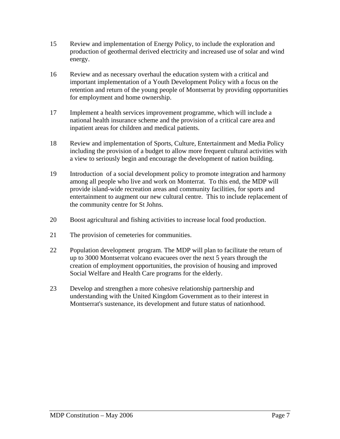- 15 Review and implementation of Energy Policy, to include the exploration and production of geothermal derived electricity and increased use of solar and wind energy.
- 16 Review and as necessary overhaul the education system with a critical and important implementation of a Youth Development Policy with a focus on the retention and return of the young people of Montserrat by providing opportunities for employment and home ownership.
- 17 Implement a health services improvement programme, which will include a national health insurance scheme and the provision of a critical care area and inpatient areas for children and medical patients.
- 18 Review and implementation of Sports, Culture, Entertainment and Media Policy including the provision of a budget to allow more frequent cultural activities with a view to seriously begin and encourage the development of nation building.
- 19 Introduction of a social development policy to promote integration and harmony among all people who live and work on Monterrat. To this end, the MDP will provide island-wide recreation areas and community facilities, for sports and entertainment to augment our new cultural centre. This to include replacement of the community centre for St Johns.
- 20 Boost agricultural and fishing activities to increase local food production.
- 21 The provision of cemeteries for communities.
- 22 Population development program. The MDP will plan to facilitate the return of up to 3000 Montserrat volcano evacuees over the next 5 years through the creation of employment opportunities, the provision of housing and improved Social Welfare and Health Care programs for the elderly.
- 23 Develop and strengthen a more cohesive relationship partnership and understanding with the United Kingdom Government as to their interest in Montserrat's sustenance, its development and future status of nationhood.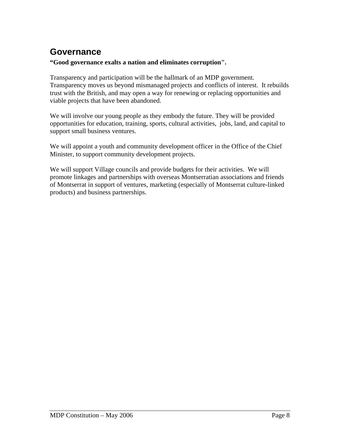#### **Governance**

#### **"Good governance exalts a nation and eliminates corruption".**

Transparency and participation will be the hallmark of an MDP government. Transparency moves us beyond mismanaged projects and conflicts of interest. It rebuilds trust with the British, and may open a way for renewing or replacing opportunities and viable projects that have been abandoned.

We will involve our young people as they embody the future. They will be provided opportunities for education, training, sports, cultural activities, jobs, land, and capital to support small business ventures.

We will appoint a youth and community development officer in the Office of the Chief Minister, to support community development projects.

We will support Village councils and provide budgets for their activities. We will promote linkages and partnerships with overseas Montserratian associations and friends of Montserrat in support of ventures, marketing (especially of Montserrat culture-linked products) and business partnerships.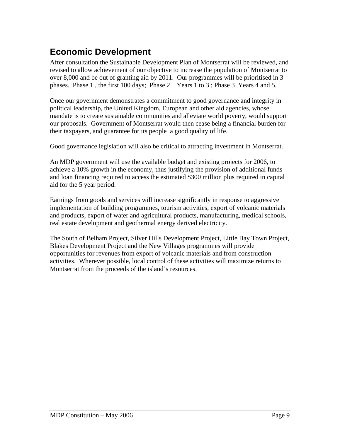### **Economic Development**

After consultation the Sustainable Development Plan of Montserrat will be reviewed, and revised to allow achievement of our objective to increase the population of Montserrat to over 8,000 and be out of granting aid by 2011. Our programmes will be prioritised in 3 phases. Phase 1 , the first 100 days; Phase 2 Years 1 to 3 ; Phase 3 Years 4 and 5.

Once our government demonstrates a commitment to good governance and integrity in political leadership, the United Kingdom, European and other aid agencies, whose mandate is to create sustainable communities and alleviate world poverty, would support our proposals. Government of Montserrat would then cease being a financial burden for their taxpayers, and guarantee for its people a good quality of life.

Good governance legislation will also be critical to attracting investment in Montserrat.

An MDP government will use the available budget and existing projects for 2006, to achieve a 10% growth in the economy, thus justifying the provision of additional funds and loan financing required to access the estimated \$300 million plus required in capital aid for the 5 year period.

Earnings from goods and services will increase significantly in response to aggressive implementation of building programmes, tourism activities, export of volcanic materials and products, export of water and agricultural products, manufacturing, medical schools, real estate development and geothermal energy derived electricity.

The South of Belham Project, Silver Hills Development Project, Little Bay Town Project, Blakes Development Project and the New Villages programmes will provide opportunities for revenues from export of volcanic materials and from construction activities. Wherever possible, local control of these activities will maximize returns to Montserrat from the proceeds of the island's resources.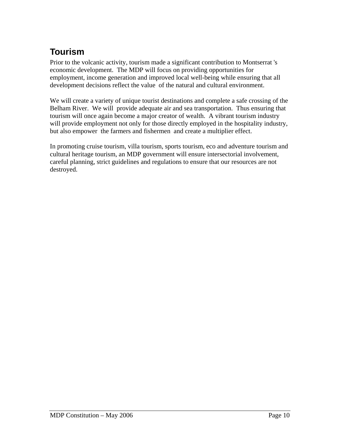# **Tourism**

Prior to the volcanic activity, tourism made a significant contribution to Montserrat 's economic development. The MDP will focus on providing opportunities for employment, income generation and improved local well-being while ensuring that all development decisions reflect the value of the natural and cultural environment.

We will create a variety of unique tourist destinations and complete a safe crossing of the Belham River. We will provide adequate air and sea transportation. Thus ensuring that tourism will once again become a major creator of wealth. A vibrant tourism industry will provide employment not only for those directly employed in the hospitality industry, but also empower the farmers and fishermen and create a multiplier effect.

In promoting cruise tourism, villa tourism, sports tourism, eco and adventure tourism and cultural heritage tourism, an MDP government will ensure intersectorial involvement, careful planning, strict guidelines and regulations to ensure that our resources are not destroyed.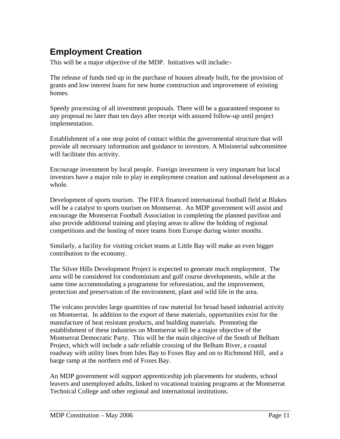### **Employment Creation**

This will be a major objective of the MDP. Initiatives will include:-

The release of funds tied up in the purchase of houses already built, for the provision of grants and low interest loans for new home construction and improvement of existing homes.

Speedy processing of all investment proposals. There will be a guaranteed response to any proposal no later than ten days after receipt with assured follow-up until project implementation.

Establishment of a one stop point of contact within the governmental structure that will provide all necessary information and guidance to investors. A Ministerial subcommittee will facilitate this activity.

Encourage investment by local people. Foreign investment is very important but local investors have a major role to play in employment creation and national development as a whole.

Development of sports tourism. The FIFA financed international football field at Blakes will be a catalyst to sports tourism on Montserrat. An MDP government will assist and encourage the Montserrat Football Association in completing the planned pavilion and also provide additional training and playing areas to allow the holding of regional competitions and the hosting of more teams from Europe during winter months.

Similarly, a facility for visiting cricket teams at Little Bay will make an even bigger contribution to the economy.

The Silver Hills Development Project is expected to generate much employment. The area will be considered for condominium and golf course developments, while at the same time accommodating a programme for reforestation, and the improvement, protection and preservation of the environment, plant and wild life in the area.

The volcano provides large quantities of raw material for broad based industrial activity on Montserrat. In addition to the export of these materials, opportunities exist for the manufacture of heat resistant products, and building materials. Promoting the establishment of these industries on Montserrat will be a major objective of the Montserrat Democratic Party. This will be the main objective of the South of Belham Project, which will include a safe reliable crossing of the Belham River, a coastal roadway with utility lines from Isles Bay to Foxes Bay and on to Richmond Hill, and a barge ramp at the northern end of Foxes Bay.

An MDP government will support apprenticeship job placements for students, school leavers and unemployed adults, linked to vocational training programs at the Montserrat Technical College and other regional and international institutions.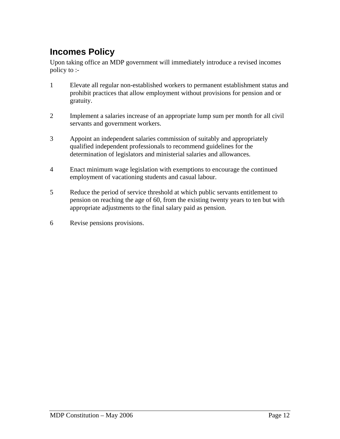### **Incomes Policy**

Upon taking office an MDP government will immediately introduce a revised incomes policy to :-

- 1 Elevate all regular non-established workers to permanent establishment status and prohibit practices that allow employment without provisions for pension and or gratuity.
- 2 Implement a salaries increase of an appropriate lump sum per month for all civil servants and government workers.
- 3 Appoint an independent salaries commission of suitably and appropriately qualified independent professionals to recommend guidelines for the determination of legislators and ministerial salaries and allowances.
- 4 Enact minimum wage legislation with exemptions to encourage the continued employment of vacationing students and casual labour.
- 5 Reduce the period of service threshold at which public servants entitlement to pension on reaching the age of 60, from the existing twenty years to ten but with appropriate adjustments to the final salary paid as pension.
- 6 Revise pensions provisions.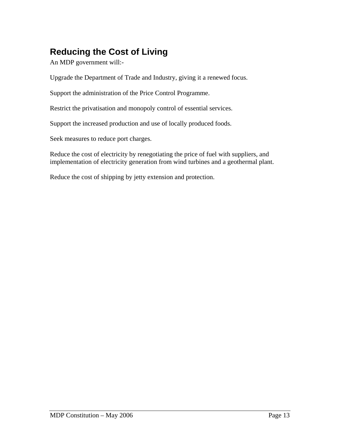# **Reducing the Cost of Living**

An MDP government will:-

Upgrade the Department of Trade and Industry, giving it a renewed focus.

Support the administration of the Price Control Programme.

Restrict the privatisation and monopoly control of essential services.

Support the increased production and use of locally produced foods.

Seek measures to reduce port charges.

Reduce the cost of electricity by renegotiating the price of fuel with suppliers, and implementation of electricity generation from wind turbines and a geothermal plant.

Reduce the cost of shipping by jetty extension and protection.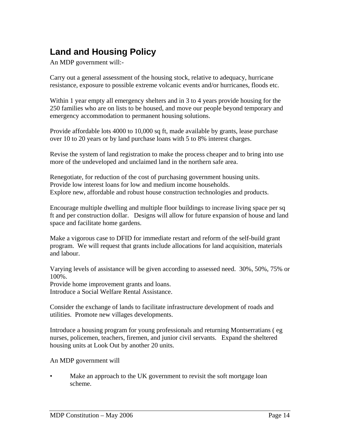# **Land and Housing Policy**

An MDP government will:-

Carry out a general assessment of the housing stock, relative to adequacy, hurricane resistance, exposure to possible extreme volcanic events and/or hurricanes, floods etc.

Within 1 year empty all emergency shelters and in 3 to 4 years provide housing for the 250 families who are on lists to be housed, and move our people beyond temporary and emergency accommodation to permanent housing solutions.

Provide affordable lots 4000 to 10,000 sq ft, made available by grants, lease purchase over 10 to 20 years or by land purchase loans with 5 to 8% interest charges.

Revise the system of land registration to make the process cheaper and to bring into use more of the undeveloped and unclaimed land in the northern safe area.

Renegotiate, for reduction of the cost of purchasing government housing units. Provide low interest loans for low and medium income households. Explore new, affordable and robust house construction technologies and products.

Encourage multiple dwelling and multiple floor buildings to increase living space per sq ft and per construction dollar. Designs will allow for future expansion of house and land space and facilitate home gardens.

Make a vigorous case to DFID for immediate restart and reform of the self-build grant program. We will request that grants include allocations for land acquisition, materials and labour.

Varying levels of assistance will be given according to assessed need. 30%, 50%, 75% or 100%.

Provide home improvement grants and loans. Introduce a Social Welfare Rental Assistance.

Consider the exchange of lands to facilitate infrastructure development of roads and utilities. Promote new villages developments.

Introduce a housing program for young professionals and returning Montserratians ( eg nurses, policemen, teachers, firemen, and junior civil servants. Expand the sheltered housing units at Look Out by another 20 units.

An MDP government will

Make an approach to the UK government to revisit the soft mortgage loan scheme.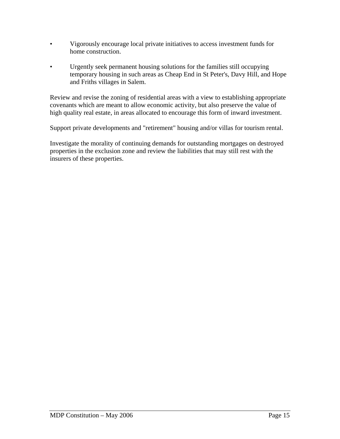- Vigorously encourage local private initiatives to access investment funds for home construction.
- Urgently seek permanent housing solutions for the families still occupying temporary housing in such areas as Cheap End in St Peter's, Davy Hill, and Hope and Friths villages in Salem.

Review and revise the zoning of residential areas with a view to establishing appropriate covenants which are meant to allow economic activity, but also preserve the value of high quality real estate, in areas allocated to encourage this form of inward investment.

Support private developments and "retirement" housing and/or villas for tourism rental.

Investigate the morality of continuing demands for outstanding mortgages on destroyed properties in the exclusion zone and review the liabilities that may still rest with the insurers of these properties.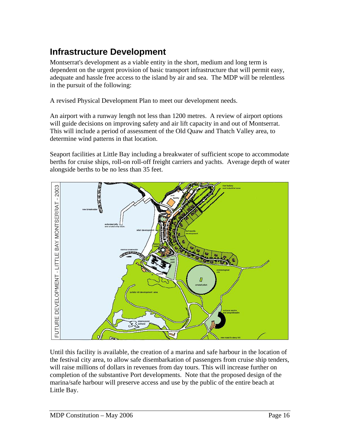# **Infrastructure Development**

Montserrat's development as a viable entity in the short, medium and long term is dependent on the urgent provision of basic transport infrastructure that will permit easy, adequate and hassle free access to the island by air and sea. The MDP will be relentless in the pursuit of the following:

A revised Physical Development Plan to meet our development needs.

An airport with a runway length not less than 1200 metres. A review of airport options will guide decisions on improving safety and air lift capacity in and out of Montserrat. This will include a period of assessment of the Old Quaw and Thatch Valley area, to determine wind patterns in that location.

Seaport facilities at Little Bay including a breakwater of sufficient scope to accommodate berths for cruise ships, roll-on roll-off freight carriers and yachts. Average depth of water alongside berths to be no less than 35 feet.



Until this facility is available, the creation of a marina and safe harbour in the location of the festival city area, to allow safe disembarkation of passengers from cruise ship tenders, will raise millions of dollars in revenues from day tours. This will increase further on completion of the substantive Port developments. Note that the proposed design of the marina/safe harbour will preserve access and use by the public of the entire beach at Little Bay.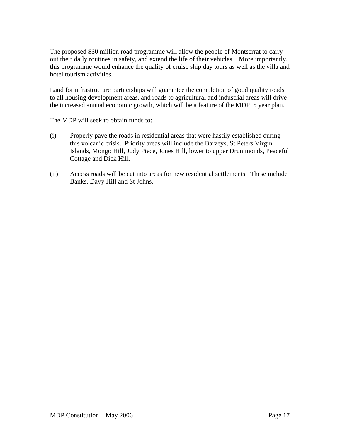The proposed \$30 million road programme will allow the people of Montserrat to carry out their daily routines in safety, and extend the life of their vehicles. More importantly, this programme would enhance the quality of cruise ship day tours as well as the villa and hotel tourism activities.

Land for infrastructure partnerships will guarantee the completion of good quality roads to all housing development areas, and roads to agricultural and industrial areas will drive the increased annual economic growth, which will be a feature of the MDP 5 year plan.

The MDP will seek to obtain funds to:

- (i) Properly pave the roads in residential areas that were hastily established during this volcanic crisis. Priority areas will include the Barzeys, St Peters Virgin Islands, Mongo Hill, Judy Piece, Jones Hill, lower to upper Drummonds, Peaceful Cottage and Dick Hill.
- (ii) Access roads will be cut into areas for new residential settlements. These include Banks, Davy Hill and St Johns.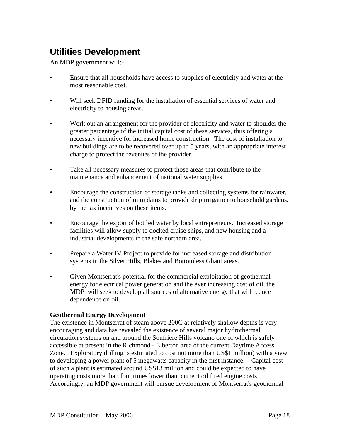### **Utilities Development**

An MDP government will:-

- Ensure that all households have access to supplies of electricity and water at the most reasonable cost.
- Will seek DFID funding for the installation of essential services of water and electricity to housing areas.
- Work out an arrangement for the provider of electricity and water to shoulder the greater percentage of the initial capital cost of these services, thus offering a necessary incentive for increased home construction. The cost of installation to new buildings are to be recovered over up to 5 years, with an appropriate interest charge to protect the revenues of the provider.
- Take all necessary measures to protect those areas that contribute to the maintenance and enhancement of national water supplies.
- Encourage the construction of storage tanks and collecting systems for rainwater, and the construction of mini dams to provide drip irrigation to household gardens, by the tax incentives on these items.
- Encourage the export of bottled water by local entrepreneurs. Increased storage facilities will allow supply to docked cruise ships, and new housing and a industrial developments in the safe northern area.
- Prepare a Water IV Project to provide for increased storage and distribution systems in the Silver Hills, Blakes and Bottomless Ghaut areas.
- Given Montserrat's potential for the commercial exploitation of geothermal energy for electrical power generation and the ever increasing cost of oil, the MDP will seek to develop all sources of alternative energy that will reduce dependence on oil.

#### **Geothermal Energy Development**

The existence in Montserrat of steam above 200C at relatively shallow depths is very encouraging and data has revealed the existence of several major hydrothermal circulation systems on and around the Soufriere Hills volcano one of which is safely accessible at present in the Richmond - Elberton area of the current Daytime Access Zone. Exploratory drilling is estimated to cost not more than US\$1 million) with a view to developing a power plant of 5 megawatts capacity in the first instance. Capital cost of such a plant is estimated around US\$13 million and could be expected to have operating costs more than four times lower than current oil fired engine costs. Accordingly, an MDP government will pursue development of Montserrat's geothermal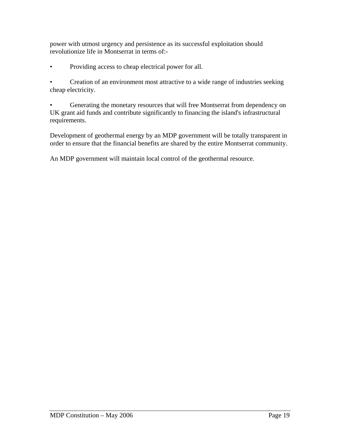power with utmost urgency and persistence as its successful exploitation should revolutionize life in Montserrat in terms of:-

• Providing access to cheap electrical power for all.

• Creation of an environment most attractive to a wide range of industries seeking cheap electricity.

• Generating the monetary resources that will free Montserrat from dependency on UK grant aid funds and contribute significantly to financing the island's infrastructural requirements.

Development of geothermal energy by an MDP government will be totally transparent in order to ensure that the financial benefits are shared by the entire Montserrat community.

An MDP government will maintain local control of the geothermal resource.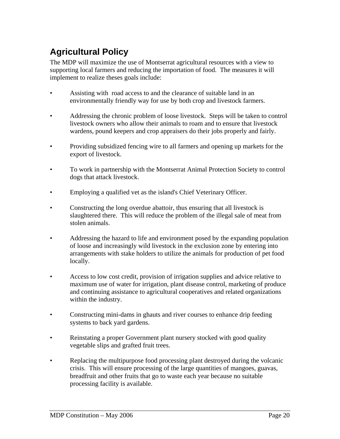# **Agricultural Policy**

The MDP will maximize the use of Montserrat agricultural resources with a view to supporting local farmers and reducing the importation of food. The measures it will implement to realize theses goals include:

- Assisting with road access to and the clearance of suitable land in an environmentally friendly way for use by both crop and livestock farmers.
- Addressing the chronic problem of loose livestock. Steps will be taken to control livestock owners who allow their animals to roam and to ensure that livestock wardens, pound keepers and crop appraisers do their jobs properly and fairly.
- Providing subsidized fencing wire to all farmers and opening up markets for the export of livestock.
- To work in partnership with the Montserrat Animal Protection Society to control dogs that attack livestock.
- Employing a qualified vet as the island's Chief Veterinary Officer.
- Constructing the long overdue abattoir, thus ensuring that all livestock is slaughtered there. This will reduce the problem of the illegal sale of meat from stolen animals.
- Addressing the hazard to life and environment posed by the expanding population of loose and increasingly wild livestock in the exclusion zone by entering into arrangements with stake holders to utilize the animals for production of pet food locally.
- Access to low cost credit, provision of irrigation supplies and advice relative to maximum use of water for irrigation, plant disease control, marketing of produce and continuing assistance to agricultural cooperatives and related organizations within the industry.
- Constructing mini-dams in ghauts and river courses to enhance drip feeding systems to back yard gardens.
- Reinstating a proper Government plant nursery stocked with good quality vegetable slips and grafted fruit trees.
- Replacing the multipurpose food processing plant destroyed during the volcanic crisis. This will ensure processing of the large quantities of mangoes, guavas, breadfruit and other fruits that go to waste each year because no suitable processing facility is available.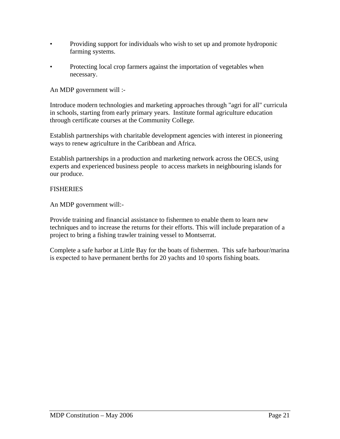- Providing support for individuals who wish to set up and promote hydroponic farming systems.
- Protecting local crop farmers against the importation of vegetables when necessary.

An MDP government will :-

Introduce modern technologies and marketing approaches through "agri for all" curricula in schools, starting from early primary years. Institute formal agriculture education through certificate courses at the Community College.

Establish partnerships with charitable development agencies with interest in pioneering ways to renew agriculture in the Caribbean and Africa.

Establish partnerships in a production and marketing network across the OECS, using experts and experienced business people to access markets in neighbouring islands for our produce.

#### **FISHERIES**

An MDP government will:-

Provide training and financial assistance to fishermen to enable them to learn new techniques and to increase the returns for their efforts. This will include preparation of a project to bring a fishing trawler training vessel to Montserrat.

Complete a safe harbor at Little Bay for the boats of fishermen. This safe harbour/marina is expected to have permanent berths for 20 yachts and 10 sports fishing boats.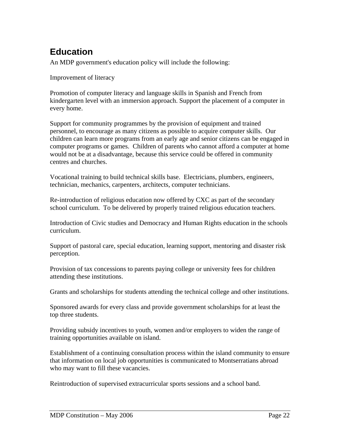### **Education**

An MDP government's education policy will include the following:

Improvement of literacy

Promotion of computer literacy and language skills in Spanish and French from kindergarten level with an immersion approach. Support the placement of a computer in every home.

Support for community programmes by the provision of equipment and trained personnel, to encourage as many citizens as possible to acquire computer skills. Our children can learn more programs from an early age and senior citizens can be engaged in computer programs or games. Children of parents who cannot afford a computer at home would not be at a disadvantage, because this service could be offered in community centres and churches.

Vocational training to build technical skills base. Electricians, plumbers, engineers, technician, mechanics, carpenters, architects, computer technicians.

Re-introduction of religious education now offered by CXC as part of the secondary school curriculum. To be delivered by properly trained religious education teachers.

Introduction of Civic studies and Democracy and Human Rights education in the schools curriculum.

Support of pastoral care, special education, learning support, mentoring and disaster risk perception.

Provision of tax concessions to parents paying college or university fees for children attending these institutions.

Grants and scholarships for students attending the technical college and other institutions.

Sponsored awards for every class and provide government scholarships for at least the top three students.

Providing subsidy incentives to youth, women and/or employers to widen the range of training opportunities available on island.

Establishment of a continuing consultation process within the island community to ensure that information on local job opportunities is communicated to Montserratians abroad who may want to fill these vacancies.

Reintroduction of supervised extracurricular sports sessions and a school band.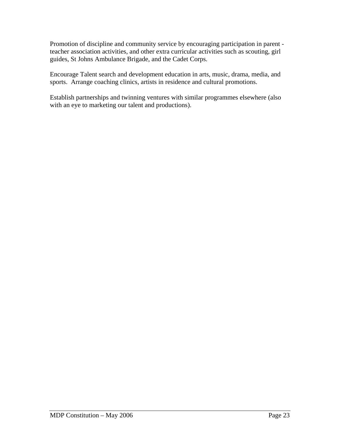Promotion of discipline and community service by encouraging participation in parent teacher association activities, and other extra curricular activities such as scouting, girl guides, St Johns Ambulance Brigade, and the Cadet Corps.

Encourage Talent search and development education in arts, music, drama, media, and sports. Arrange coaching clinics, artists in residence and cultural promotions.

Establish partnerships and twinning ventures with similar programmes elsewhere (also with an eye to marketing our talent and productions).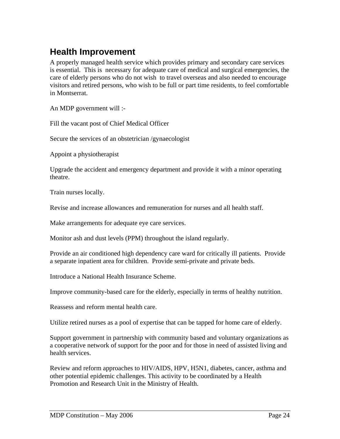#### **Health Improvement**

A properly managed health service which provides primary and secondary care services is essential. This is necessary for adequate care of medical and surgical emergencies, the care of elderly persons who do not wish to travel overseas and also needed to encourage visitors and retired persons, who wish to be full or part time residents, to feel comfortable in Montserrat.

An MDP government will :-

Fill the vacant post of Chief Medical Officer

Secure the services of an obstetrician /gynaecologist

Appoint a physiotherapist

Upgrade the accident and emergency department and provide it with a minor operating theatre.

Train nurses locally.

Revise and increase allowances and remuneration for nurses and all health staff.

Make arrangements for adequate eye care services.

Monitor ash and dust levels (PPM) throughout the island regularly.

Provide an air conditioned high dependency care ward for critically ill patients. Provide a separate inpatient area for children. Provide semi-private and private beds.

Introduce a National Health Insurance Scheme.

Improve community-based care for the elderly, especially in terms of healthy nutrition.

Reassess and reform mental health care.

Utilize retired nurses as a pool of expertise that can be tapped for home care of elderly.

Support government in partnership with community based and voluntary organizations as a cooperative network of support for the poor and for those in need of assisted living and health services.

Review and reform approaches to HIV/AIDS, HPV, H5N1, diabetes, cancer, asthma and other potential epidemic challenges. This activity to be coordinated by a Health Promotion and Research Unit in the Ministry of Health.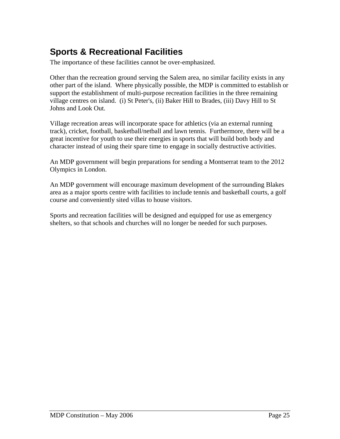### **Sports & Recreational Facilities**

The importance of these facilities cannot be over-emphasized.

Other than the recreation ground serving the Salem area, no similar facility exists in any other part of the island. Where physically possible, the MDP is committed to establish or support the establishment of multi-purpose recreation facilities in the three remaining village centres on island. (i) St Peter's, (ii) Baker Hill to Brades, (iii) Davy Hill to St Johns and Look Out.

Village recreation areas will incorporate space for athletics (via an external running track), cricket, football, basketball/netball and lawn tennis. Furthermore, there will be a great incentive for youth to use their energies in sports that will build both body and character instead of using their spare time to engage in socially destructive activities.

An MDP government will begin preparations for sending a Montserrat team to the 2012 Olympics in London.

An MDP government will encourage maximum development of the surrounding Blakes area as a major sports centre with facilities to include tennis and basketball courts, a golf course and conveniently sited villas to house visitors.

Sports and recreation facilities will be designed and equipped for use as emergency shelters, so that schools and churches will no longer be needed for such purposes.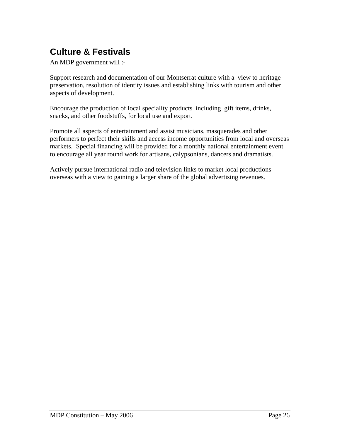# **Culture & Festivals**

An MDP government will :-

Support research and documentation of our Montserrat culture with a view to heritage preservation, resolution of identity issues and establishing links with tourism and other aspects of development.

Encourage the production of local speciality products including gift items, drinks, snacks, and other foodstuffs, for local use and export.

Promote all aspects of entertainment and assist musicians, masquerades and other performers to perfect their skills and access income opportunities from local and overseas markets. Special financing will be provided for a monthly national entertainment event to encourage all year round work for artisans, calypsonians, dancers and dramatists.

Actively pursue international radio and television links to market local productions overseas with a view to gaining a larger share of the global advertising revenues.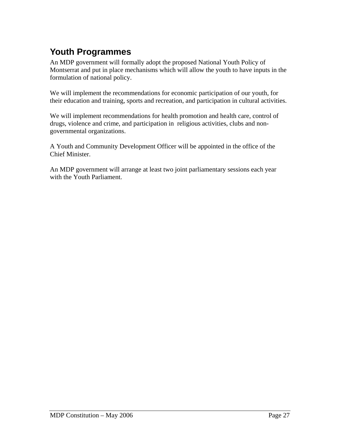# **Youth Programmes**

An MDP government will formally adopt the proposed National Youth Policy of Montserrat and put in place mechanisms which will allow the youth to have inputs in the formulation of national policy.

We will implement the recommendations for economic participation of our youth, for their education and training, sports and recreation, and participation in cultural activities.

We will implement recommendations for health promotion and health care, control of drugs, violence and crime, and participation in religious activities, clubs and nongovernmental organizations.

A Youth and Community Development Officer will be appointed in the office of the Chief Minister.

An MDP government will arrange at least two joint parliamentary sessions each year with the Youth Parliament.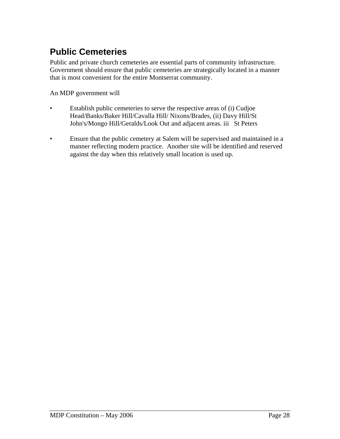### **Public Cemeteries**

Public and private church cemeteries are essential parts of community infrastructure. Government should ensure that public cemeteries are strategically located in a manner that is most convenient for the entire Montserrat community.

An MDP government will

- Establish public cemeteries to serve the respective areas of (i) Cudjoe Head/Banks/Baker Hill/Cavalla Hill/ Nixons/Brades, (ii) Davy Hill/St John's/Mongo Hill/Geralds/Look Out and adjacent areas. iii St Peters
- Ensure that the public cemetery at Salem will be supervised and maintained in a manner reflecting modern practice. Another site will be identified and reserved against the day when this relatively small location is used up.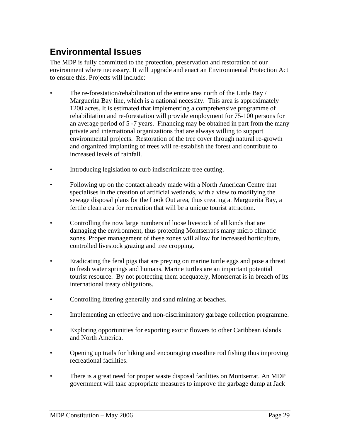### **Environmental Issues**

The MDP is fully committed to the protection, preservation and restoration of our environment where necessary. It will upgrade and enact an Environmental Protection Act to ensure this. Projects will include:

- The re-forestation/rehabilitation of the entire area north of the Little Bay / Marguerita Bay line, which is a national necessity. This area is approximately 1200 acres. It is estimated that implementing a comprehensive programme of rehabilitation and re-forestation will provide employment for 75-100 persons for an average period of 5 -7 years. Financing may be obtained in part from the many private and international organizations that are always willing to support environmental projects. Restoration of the tree cover through natural re-growth and organized implanting of trees will re-establish the forest and contribute to increased levels of rainfall.
- Introducing legislation to curb indiscriminate tree cutting.
- Following up on the contact already made with a North American Centre that specialises in the creation of artificial wetlands, with a view to modifying the sewage disposal plans for the Look Out area, thus creating at Marguerita Bay, a fertile clean area for recreation that will be a unique tourist attraction.
- Controlling the now large numbers of loose livestock of all kinds that are damaging the environment, thus protecting Montserrat's many micro climatic zones. Proper management of these zones will allow for increased horticulture, controlled livestock grazing and tree cropping.
- Eradicating the feral pigs that are preying on marine turtle eggs and pose a threat to fresh water springs and humans. Marine turtles are an important potential tourist resource. By not protecting them adequately, Montserrat is in breach of its international treaty obligations.
- Controlling littering generally and sand mining at beaches.
- Implementing an effective and non-discriminatory garbage collection programme.
- Exploring opportunities for exporting exotic flowers to other Caribbean islands and North America.
- Opening up trails for hiking and encouraging coastline rod fishing thus improving recreational facilities.
- There is a great need for proper waste disposal facilities on Montserrat. An MDP government will take appropriate measures to improve the garbage dump at Jack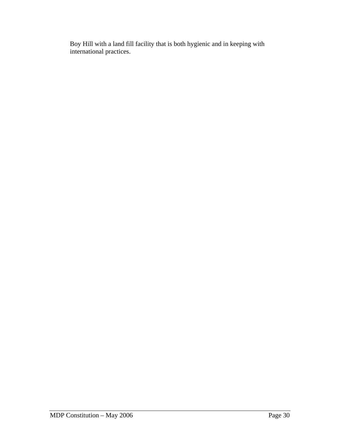Boy Hill with a land fill facility that is both hygienic and in keeping with international practices.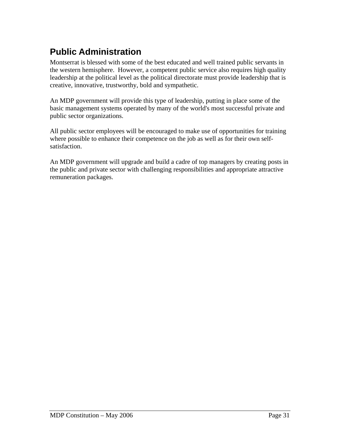# **Public Administration**

Montserrat is blessed with some of the best educated and well trained public servants in the western hemisphere. However, a competent public service also requires high quality leadership at the political level as the political directorate must provide leadership that is creative, innovative, trustworthy, bold and sympathetic.

An MDP government will provide this type of leadership, putting in place some of the basic management systems operated by many of the world's most successful private and public sector organizations.

All public sector employees will be encouraged to make use of opportunities for training where possible to enhance their competence on the job as well as for their own selfsatisfaction.

An MDP government will upgrade and build a cadre of top managers by creating posts in the public and private sector with challenging responsibilities and appropriate attractive remuneration packages.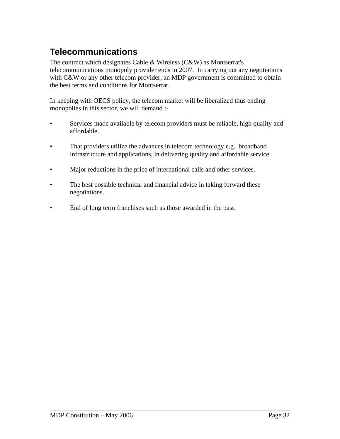## **Telecommunications**

The contract which designates Cable & Wireless (C&W) as Montserrat's telecommunications monopoly provider ends in 2007. In carrying out any negotiations with C&W or any other telecom provider, an MDP government is committed to obtain the best terms and conditions for Montserrat.

In keeping with OECS policy, the telecom market will be liberalized thus ending monopolies in this sector, we will demand :-

- Services made available by telecom providers must be reliable, high quality and affordable.
- That providers utilize the advances in telecom technology e.g. broadband infrastructure and applications, in delivering quality and affordable service.
- Major reductions in the price of international calls and other services.
- The best possible technical and financial advice in taking forward these negotiations.
- End of long term franchises such as those awarded in the past.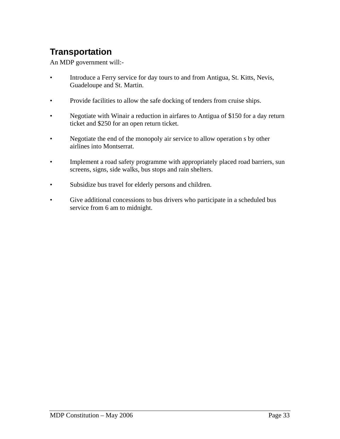# **Transportation**

An MDP government will:-

- Introduce a Ferry service for day tours to and from Antigua, St. Kitts, Nevis, Guadeloupe and St. Martin.
- Provide facilities to allow the safe docking of tenders from cruise ships.
- Negotiate with Winair a reduction in airfares to Antigua of \$150 for a day return ticket and \$250 for an open return ticket.
- Negotiate the end of the monopoly air service to allow operation s by other airlines into Montserrat.
- Implement a road safety programme with appropriately placed road barriers, sun screens, signs, side walks, bus stops and rain shelters.
- Subsidize bus travel for elderly persons and children.
- Give additional concessions to bus drivers who participate in a scheduled bus service from 6 am to midnight.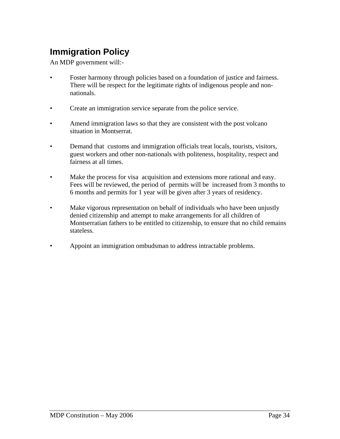# **Immigration Policy**

An MDP government will:-

- Foster harmony through policies based on a foundation of justice and fairness. There will be respect for the legitimate rights of indigenous people and nonnationals.
- Create an immigration service separate from the police service.
- Amend immigration laws so that they are consistent with the post volcano situation in Montserrat.
- Demand that customs and immigration officials treat locals, tourists, visitors, guest workers and other non-nationals with politeness, hospitality, respect and fairness at all times.
- Make the process for visa acquisition and extensions more rational and easy. Fees will be reviewed, the period of permits will be increased from 3 months to 6 months and permits for 1 year will be given after 3 years of residency.
- Make vigorous representation on behalf of individuals who have been unjustly denied citizenship and attempt to make arrangements for all children of Montserratian fathers to be entitled to citizenship, to ensure that no child remains stateless.
- Appoint an immigration ombudsman to address intractable problems.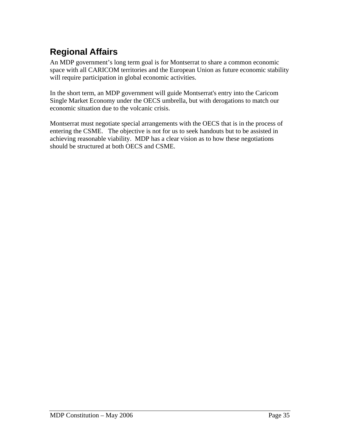# **Regional Affairs**

An MDP government's long term goal is for Montserrat to share a common economic space with all CARICOM territories and the European Union as future economic stability will require participation in global economic activities.

In the short term, an MDP government will guide Montserrat's entry into the Caricom Single Market Economy under the OECS umbrella, but with derogations to match our economic situation due to the volcanic crisis.

Montserrat must negotiate special arrangements with the OECS that is in the process of entering the CSME. The objective is not for us to seek handouts but to be assisted in achieving reasonable viability. MDP has a clear vision as to how these negotiations should be structured at both OECS and CSME.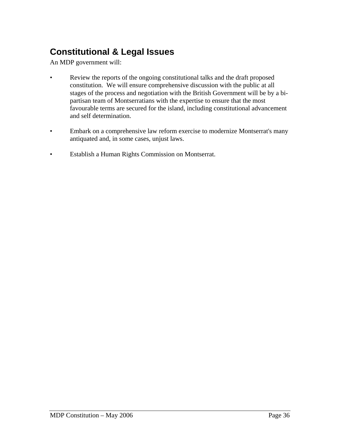## **Constitutional & Legal Issues**

An MDP government will:

- Review the reports of the ongoing constitutional talks and the draft proposed constitution. We will ensure comprehensive discussion with the public at all stages of the process and negotiation with the British Government will be by a bipartisan team of Montserratians with the expertise to ensure that the most favourable terms are secured for the island, including constitutional advancement and self determination.
- Embark on a comprehensive law reform exercise to modernize Montserrat's many antiquated and, in some cases, unjust laws.
- Establish a Human Rights Commission on Montserrat.